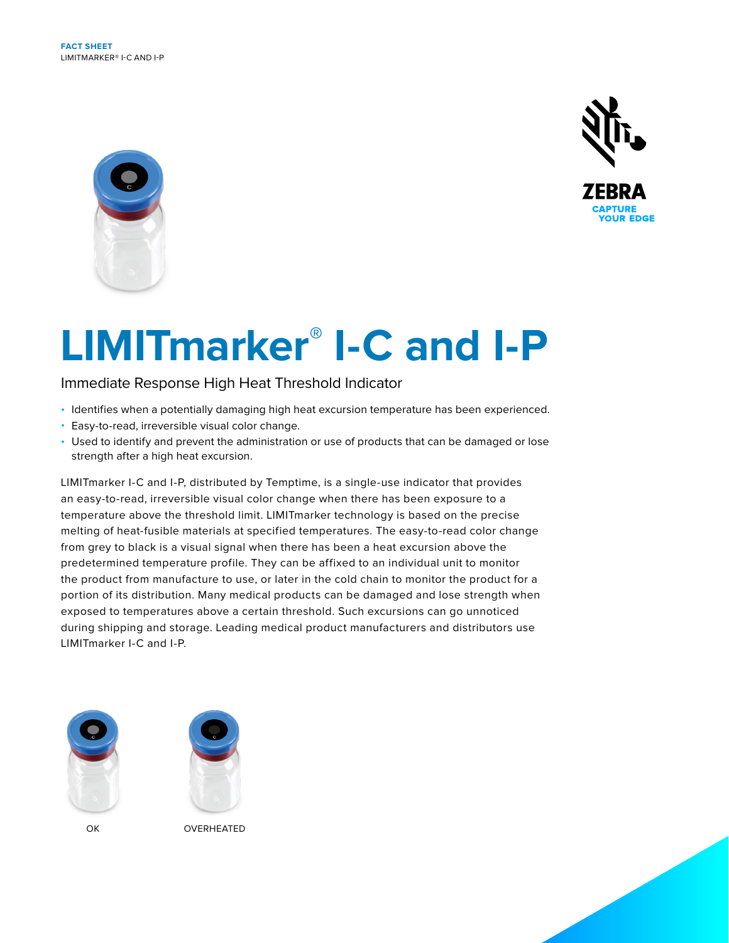



# **LIMITmarker® I-C and I-P**

Immediate Response High Heat Threshold Indicator

- Identifies when a potentially damaging high heat excursion temperature has been experienced.
- Easy-to-read, irreversible visual color change.
- Used to identify and prevent the administration or use of products that can be damaged or lose strength after a high heat excursion.

LIMITmarker I-C and I-P, distributed by Temptime, is a single-use indicator that provides an easy-to-read, irreversible visual color change when there has been exposure to a temperature above the threshold limit. LIMITmarker technology is based on the precise melting of heat-fusible materials at specified temperatures. The easy-to-read color change from grey to black is a visual signal when there has been a heat excursion above the predetermined temperature profile. They can be affixed to an individual unit to monitor the product from manufacture to use, or later in the cold chain to monitor the product for a portion of its distribution. Many medical products can be damaged and lose strength when exposed to temperatures above a certain threshold. Such excursions can go unnoticed during shipping and storage. Leading medical product manufacturers and distributors use LIMITmarker I-C and I-P.





OK OVERHEATED